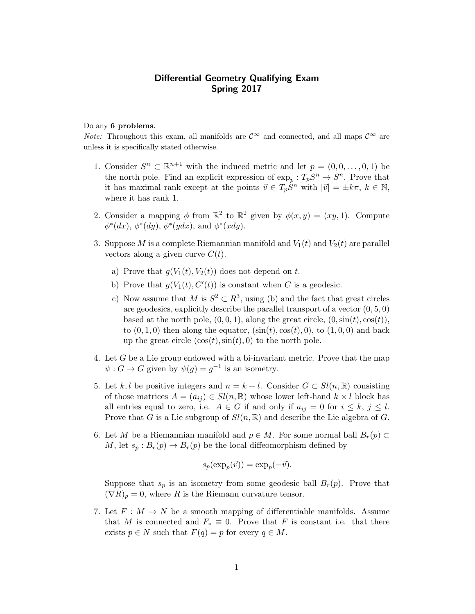## Differential Geometry Qualifying Exam Spring 2017

## Do any 6 problems.

*Note:* Throughout this exam, all manifolds are  $\mathcal{C}^{\infty}$  and connected, and all maps  $\mathcal{C}^{\infty}$  are unless it is specifically stated otherwise.

- 1. Consider  $S^n \subset \mathbb{R}^{n+1}$  with the induced metric and let  $p = (0, 0, \ldots, 0, 1)$  be the north pole. Find an explicit expression of  $\exp_p: T_pS^n \to S^n$ . Prove that it has maximal rank except at the points  $\vec{v} \in T_p \vec{S}^n$  with  $|\vec{v}| = \pm k\pi$ ,  $k \in \mathbb{N}$ , where it has rank 1.
- 2. Consider a mapping  $\phi$  from  $\mathbb{R}^2$  to  $\mathbb{R}^2$  given by  $\phi(x, y) = (xy, 1)$ . Compute  $\phi^*(dx)$ ,  $\phi^*(dy)$ ,  $\phi^*(ydx)$ , and  $\phi^*(xdy)$ .
- 3. Suppose M is a complete Riemannian manifold and  $V_1(t)$  and  $V_2(t)$  are parallel vectors along a given curve  $C(t)$ .
	- a) Prove that  $q(V_1(t), V_2(t))$  does not depend on t.
	- b) Prove that  $g(V_1(t), C'(t))$  is constant when C is a geodesic.
	- c) Now assume that M is  $S^2 \subset \mathbb{R}^3$ , using (b) and the fact that great circles are geodesics, explicitly describe the parallel transport of a vector (0, 5, 0) based at the north pole,  $(0, 0, 1)$ , along the great circle,  $(0, \sin(t), \cos(t)),$ to  $(0, 1, 0)$  then along the equator,  $(\sin(t), \cos(t), 0)$ , to  $(1, 0, 0)$  and back up the great circle  $(\cos(t), \sin(t), 0)$  to the north pole.
- 4. Let G be a Lie group endowed with a bi-invariant metric. Prove that the map  $\psi$ :  $G \to G$  given by  $\psi(g) = g^{-1}$  is an isometry.
- 5. Let k, l be positive integers and  $n = k + l$ . Consider  $G \subset Sl(n, \mathbb{R})$  consisting of those matrices  $A = (a_{ij}) \in Sl(n, \mathbb{R})$  whose lower left-hand  $k \times l$  block has all entries equal to zero, i.e.  $A \in G$  if and only if  $a_{ij} = 0$  for  $i \leq k, j \leq l$ . Prove that G is a Lie subgroup of  $Sl(n,\mathbb{R})$  and describe the Lie algebra of G.
- 6. Let M be a Riemannian manifold and  $p \in M$ . For some normal ball  $B_r(p) \subset$ M, let  $s_p : B_r(p) \to B_r(p)$  be the local diffeomorphism defined by

$$
s_p(\exp_p(\vec{v})) = \exp_p(-\vec{v}).
$$

Suppose that  $s_p$  is an isometry from some geodesic ball  $B_r(p)$ . Prove that  $(\nabla R)_p = 0$ , where R is the Riemann curvature tensor.

7. Let  $F: M \to N$  be a smooth mapping of differentiable manifolds. Assume that M is connected and  $F_* \equiv 0$ . Prove that F is constant i.e. that there exists  $p \in N$  such that  $F(q) = p$  for every  $q \in M$ .